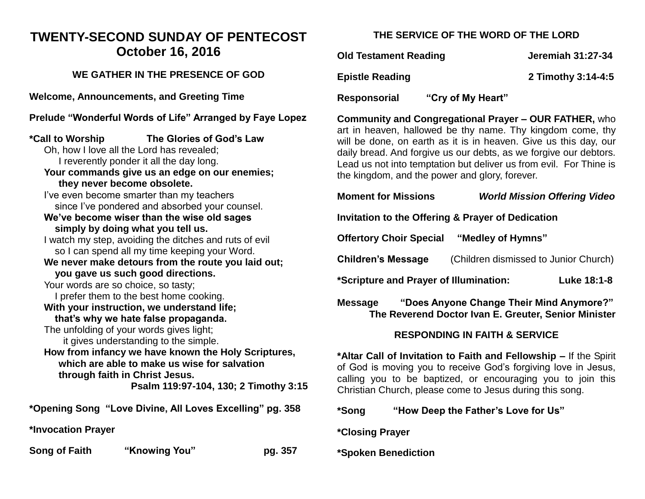## **TWENTY-SECOND SUNDAY OF PENTECOST October 16, 2016**

### **WE GATHER IN THE PRESENCE OF GOD**

**Welcome, Announcements, and Greeting Time** 

**Prelude "Wonderful Words of Life" Arranged by Faye Lopez**

**\*Call to Worship The Glories of God's Law**  Oh, how I love all the Lord has revealed; I reverently ponder it all the day long. **Your commands give us an edge on our enemies; they never become obsolete.** I've even become smarter than my teachers since I've pondered and absorbed your counsel. **We've become wiser than the wise old sages simply by doing what you tell us.** I watch my step, avoiding the ditches and ruts of evil so I can spend all my time keeping your Word. **We never make detours from the route you laid out; you gave us such good directions.** Your words are so choice, so tasty; I prefer them to the best home cooking. **With your instruction, we understand life; that's why we hate false propaganda.** The unfolding of your words gives light; it gives understanding to the simple. **How from infancy we have known the Holy Scriptures, which are able to make us wise for salvation through faith in Christ Jesus. Psalm 119:97-104, 130; 2 Timothy 3:1 \*Opening Song "Love Divine, All Loves Excelling" pg. 358 \*Invocation Prayer Song of Faith "Knowing You" pg. 357** 

### **THE SERVICE OF THE WORD OF THE LORD**

**Old Testament Reading Server Serverse Serverse Serverse Serverse Serverse Serverse Serverse Serverse Serverse Serverse Serverse Serverse Serverse Serverse Serverse Serverse Serverse Serverse Serverse Serverse Serverse Ser** 

**Epistle Reading 2 Timothy 3:14-4:5** 

**Responsorial "Cry of My Heart"** 

**Community and Congregational Prayer – OUR FATHER,** who art in heaven, hallowed be thy name. Thy kingdom come, thy will be done, on earth as it is in heaven. Give us this day, our daily bread. And forgive us our debts, as we forgive our debtors. Lead us not into temptation but deliver us from evil. For Thine is the kingdom, and the power and glory, forever.

|   | <b>Moment for Missions</b>                                                                                                                                                                                                                                     | <b>World Mission Offering Video</b> |  |
|---|----------------------------------------------------------------------------------------------------------------------------------------------------------------------------------------------------------------------------------------------------------------|-------------------------------------|--|
|   | Invitation to the Offering & Prayer of Dedication                                                                                                                                                                                                              |                                     |  |
|   | <b>Offertory Choir Special "Medley of Hymns"</b>                                                                                                                                                                                                               |                                     |  |
|   | (Children dismissed to Junior Church)<br><b>Children's Message</b>                                                                                                                                                                                             |                                     |  |
|   | *Scripture and Prayer of Illumination:<br>Luke 18:1-8                                                                                                                                                                                                          |                                     |  |
|   | "Does Anyone Change Their Mind Anymore?"<br>Message<br>The Reverend Doctor Ivan E. Greuter, Senior Minister                                                                                                                                                    |                                     |  |
|   | <b>RESPONDING IN FAITH &amp; SERVICE</b>                                                                                                                                                                                                                       |                                     |  |
| 5 | *Altar Call of Invitation to Faith and Fellowship – If the Spirit<br>of God is moving you to receive God's forgiving love in Jesus,<br>calling you to be baptized, or encouraging you to join this<br>Christian Church, please come to Jesus during this song. |                                     |  |

**\*Song "How Deep the Father's Love for Us"** 

**\*Closing Prayer** 

**\*Spoken Benediction**